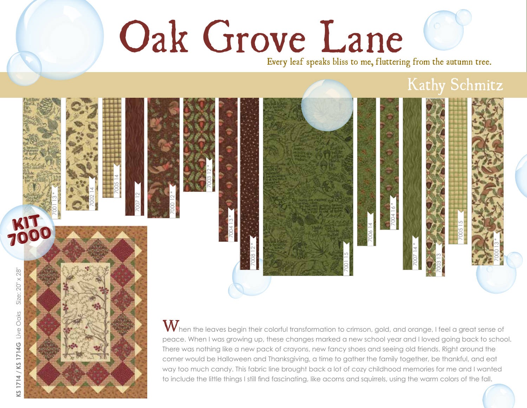## Oak Grove Lane

Every leaf speaks bliss to me, fluttering from the autumn tree.

## Kathy Schmitz